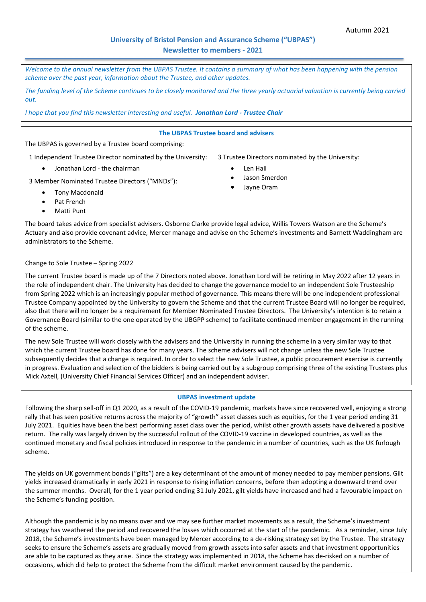# **University of Bristol Pension and Assurance Scheme ("UBPAS") Newsletter to members - 2021**

*Welcome to the annual newsletter from the UBPAS Trustee. It contains a summary of what has been happening with the pension scheme over the past year, information about the Trustee, and other updates.* 

*The funding level of the Scheme continues to be closely monitored and the three yearly actuarial valuation is currently being carried out.*

*I hope that you find this newsletter interesting and useful. Jonathan Lord - Trustee Chair*

#### **The UBPAS Trustee board and advisers**

The UBPAS is governed by a Trustee board comprising:

1 Independent Trustee Director nominated by the University: 3 Trustee Directors nominated by the University:

Jonathan Lord - the chairman

- - Len Hall
	- Jason Smerdon
	- Jayne Oram

3 Member Nominated Trustee Directors ("MNDs"):

- Tony Macdonald
- Pat French
- Matti Punt

The board takes advice from specialist advisers. Osborne Clarke provide legal advice, Willis Towers Watson are the Scheme's Actuary and also provide covenant advice, Mercer manage and advise on the Scheme's investments and Barnett Waddingham are administrators to the Scheme.

#### Change to Sole Trustee – Spring 2022

The current Trustee board is made up of the 7 Directors noted above. Jonathan Lord will be retiring in May 2022 after 12 years in the role of independent chair. The University has decided to change the governance model to an independent Sole Trusteeship from Spring 2022 which is an increasingly popular method of governance. This means there will be one independent professional Trustee Company appointed by the University to govern the Scheme and that the current Trustee Board will no longer be required, also that there will no longer be a requirement for Member Nominated Trustee Directors. The University's intention is to retain a Governance Board (similar to the one operated by the UBGPP scheme) to facilitate continued member engagement in the running of the scheme.

The new Sole Trustee will work closely with the advisers and the University in running the scheme in a very similar way to that which the current Trustee board has done for many years. The scheme advisers will not change unless the new Sole Trustee subsequently decides that a change is required. In order to select the new Sole Trustee, a public procurement exercise is currently in progress. Evaluation and selection of the bidders is being carried out by a subgroup comprising three of the existing Trustees plus Mick Axtell, (University Chief Financial Services Officer) and an independent adviser.

#### **UBPAS investment update**

Following the sharp sell-off in Q1 2020, as a result of the COVID-19 pandemic, markets have since recovered well, enjoying a strong rally that has seen positive returns across the majority of "growth" asset classes such as equities, for the 1 year period ending 31 July 2021. Equities have been the best performing asset class over the period, whilst other growth assets have delivered a positive return. The rally was largely driven by the successful rollout of the COVID-19 vaccine in developed countries, as well as the continued monetary and fiscal policies introduced in response to the pandemic in a number of countries, such as the UK furlough scheme.

The yields on UK government bonds ("gilts") are a key determinant of the amount of money needed to pay member pensions. Gilt yields increased dramatically in early 2021 in response to rising inflation concerns, before then adopting a downward trend over the summer months. Overall, for the 1 year period ending 31 July 2021, gilt yields have increased and had a favourable impact on the Scheme's funding position.

Although the pandemic is by no means over and we may see further market movements as a result, the Scheme's investment strategy has weathered the period and recovered the losses which occurred at the start of the pandemic. As a reminder, since July 2018, the Scheme's investments have been managed by Mercer according to a de-risking strategy set by the Trustee. The strategy seeks to ensure the Scheme's assets are gradually moved from growth assets into safer assets and that investment opportunities are able to be captured as they arise. Since the strategy was implemented in 2018, the Scheme has de-risked on a number of occasions, which did help to protect the Scheme from the difficult market environment caused by the pandemic.